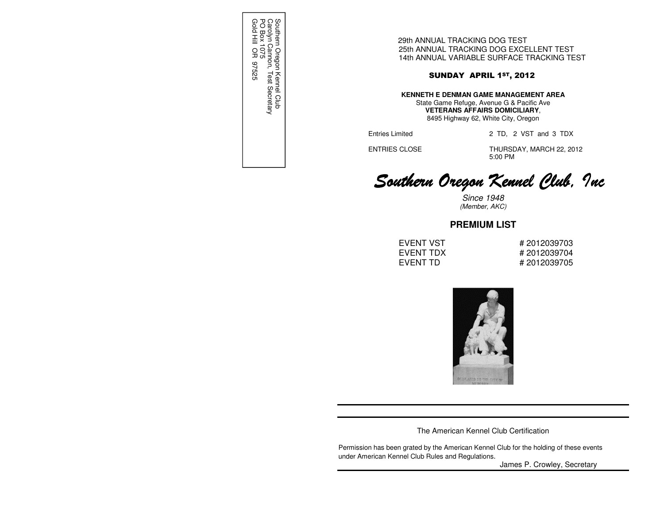Southern Oregon Kennel Club<br>Carolyn Cannon, Test Secretary<br>PO Box 1075<br>Gold Hill OR 97525 Gold Hill OR 97525 PO Box 1075 Carolyn Cannon, Test Secretary Southern Oregon Kennel Club

29th ANNUAL TRACKING DOG TEST 25th ANNUAL TRACKING DOG EXCELLENT TEST 14th ANNUAL VARIABLE SURFACE TRACKING TEST

# SUNDAY APRIL 1ST, 2012

**KENNETH E DENMAN GAME MANAGEMENT AREA** State Game Refuge, Avenue G & Pacific Ave

> **VETERANS AFFAIRS DOMICILIARY**, 8495 Highway 62, White City, Oregon

Entries Limited 2 TD, 2 VST and 3 TDX

 ENTRIES CLOSE THURSDAY, MARCH 22, 2012 5:00 PM

# Southern Oregon Kennel Club, Inc

Since 1948 (Member, AKC)

# **PREMIUM LIST**

EVENT VST # 2012039703 EVENT TDX  $\# 2012039704$ EVENT TD # 2012039705



The American Kennel Club Certification

Permission has been grated by the American Kennel Club for the holding of these events under American Kennel Club Rules and Regulations.

James P. Crowley, Secretary